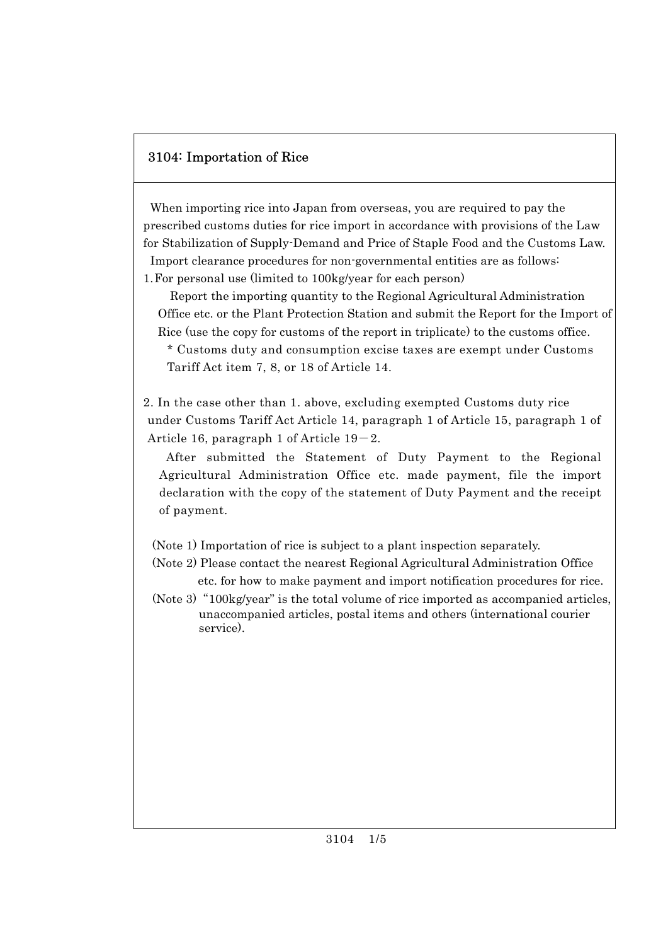## 3104: Importation of Rice

When importing rice into Japan from overseas, you are required to pay the prescribed customs duties for rice import in accordance with provisions of the Law for Stabilization of Supply-Demand and Price of Staple Food and the Customs Law. Import clearance procedures for non-governmental entities are as follows: 1.For personal use (limited to 100kg/year for each person)

Report the importing quantity to the Regional Agricultural Administration Office etc. or the Plant Protection Station and submit the Report for the Import of Rice (use the copy for customs of the report in triplicate) to the customs office. \* Customs duty and consumption excise taxes are exempt under Customs

Tariff Act item 7, 8, or 18 of Article 14.

2. In the case other than 1. above, excluding exempted Customs duty rice under Customs Tariff Act Article 14, paragraph 1 of Article 15, paragraph 1 of Article 16, paragraph 1 of Article  $19-2$ .

After submitted the Statement of Duty Payment to the Regional Agricultural Administration Office etc. made payment, file the import declaration with the copy of the statement of Duty Payment and the receipt of payment.

(Note 1) Importation of rice is subject to a plant inspection separately.

 (Note 2) Please contact the nearest Regional Agricultural Administration Office etc. for how to make payment and import notification procedures for rice.

 (Note 3)"100kg/year" is the total volume of rice imported as accompanied articles, unaccompanied articles, postal items and others (international courier service).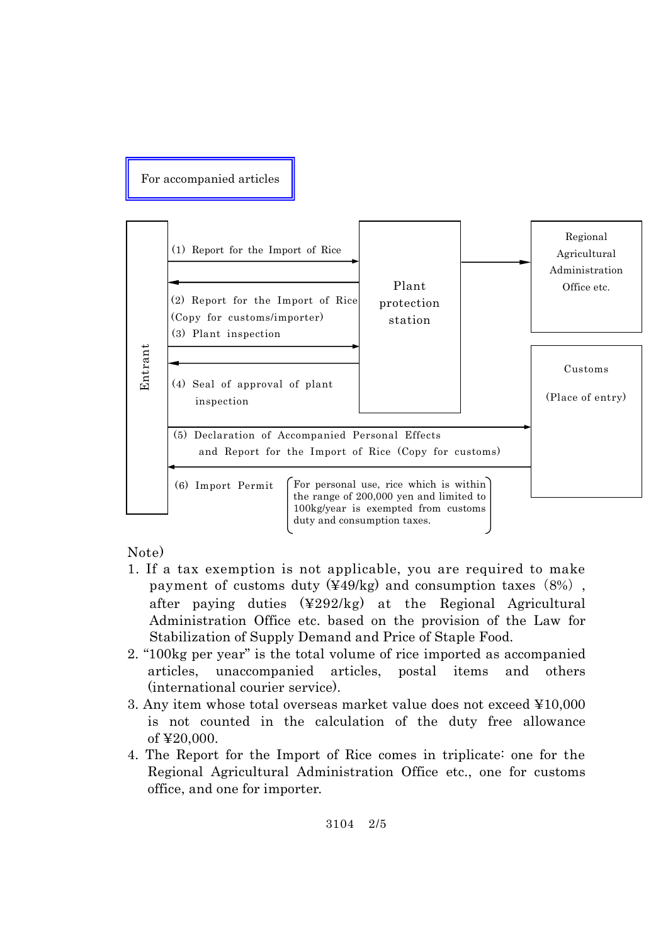For accompanied articles



- 1. If a tax exemption is not applicable, you are required to make payment of customs duty  $(449/kg)$  and consumption taxes  $(8%)$ , after paying duties (¥292/kg) at the Regional Agricultural Administration Office etc. based on the provision of the Law for Stabilization of Supply Demand and Price of Staple Food.
- 2. "100kg per year" is the total volume of rice imported as accompanied articles, unaccompanied articles, postal items and others (international courier service).
- 3. Any item whose total overseas market value does not exceed ¥10,000 is not counted in the calculation of the duty free allowance of ¥20,000.
- 4. The Report for the Import of Rice comes in triplicate: one for the Regional Agricultural Administration Office etc., one for customs office, and one for importer.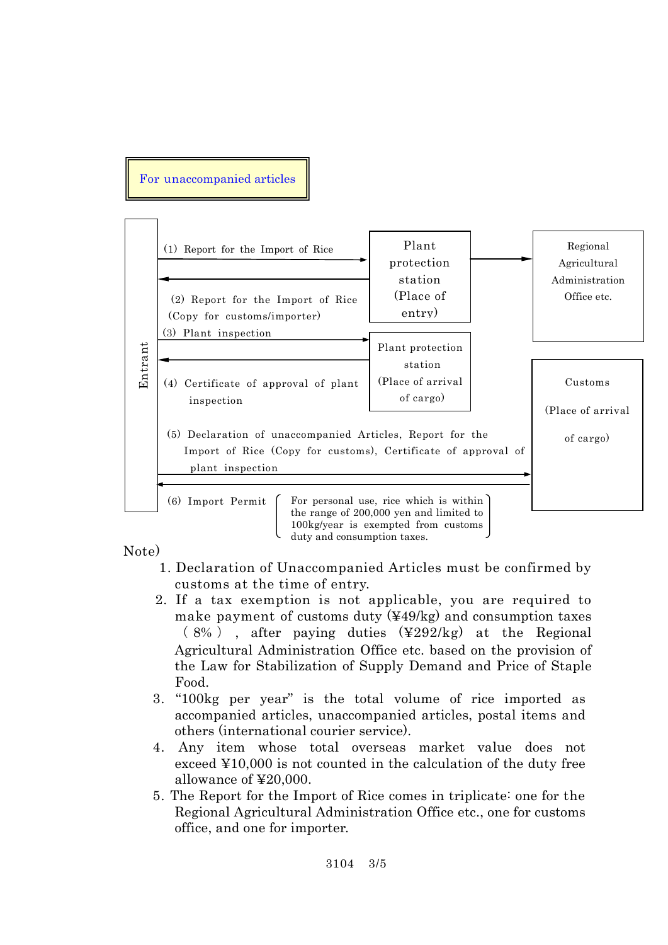## For unaccompanied articles



duty and consumption taxes.

- 1. Declaration of Unaccompanied Articles must be confirmed by customs at the time of entry.
- 2. If a tax exemption is not applicable, you are required to make payment of customs duty (¥49/kg) and consumption taxes ( 8% ) , after paying duties (¥292/kg) at the Regional Agricultural Administration Office etc. based on the provision of the Law for Stabilization of Supply Demand and Price of Staple Food.
- 3. "100kg per year" is the total volume of rice imported as accompanied articles, unaccompanied articles, postal items and others (international courier service).
- 4. Any item whose total overseas market value does not exceed ¥10,000 is not counted in the calculation of the duty free allowance of ¥20,000.
- 5. The Report for the Import of Rice comes in triplicate: one for the Regional Agricultural Administration Office etc., one for customs office, and one for importer.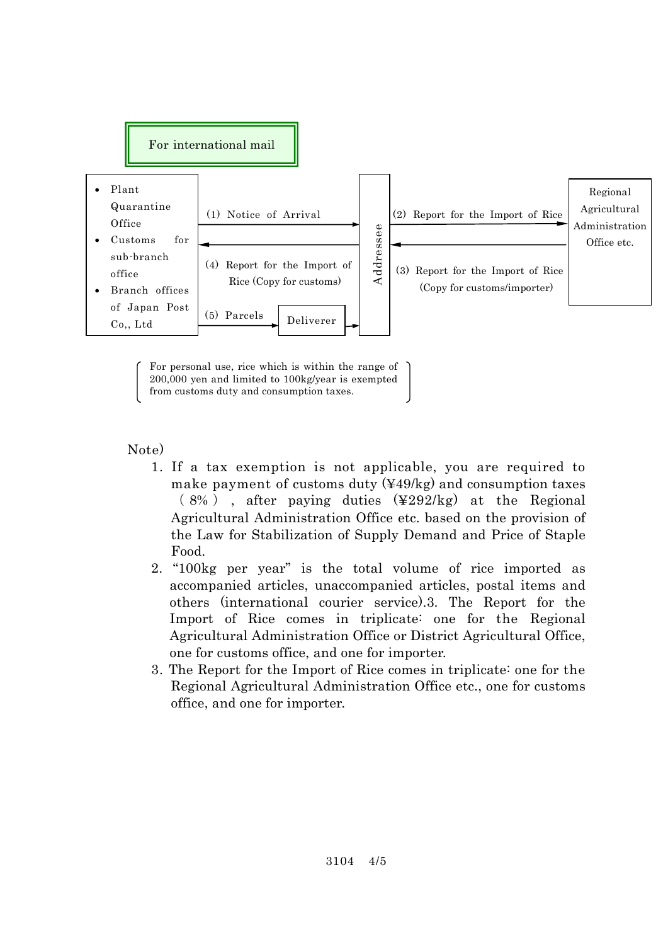

For personal use, rice which is within the range of 200,000 yen and limited to 100kg/year is exempted from customs duty and consumption taxes.

- 1. If a tax exemption is not applicable, you are required to make payment of customs duty (¥49/kg) and consumption taxes  $(8\%)$ , after paying duties  $(\frac{4292}{kg})$  at the Regional Agricultural Administration Office etc. based on the provision of the Law for Stabilization of Supply Demand and Price of Staple Food.
- 2. "100kg per year" is the total volume of rice imported as accompanied articles, unaccompanied articles, postal items and others (international courier service).3. The Report for the Import of Rice comes in triplicate: one for the Regional Agricultural Administration Office or District Agricultural Office, one for customs office, and one for importer.
- 3. The Report for the Import of Rice comes in triplicate: one for the Regional Agricultural Administration Office etc., one for customs office, and one for importer.